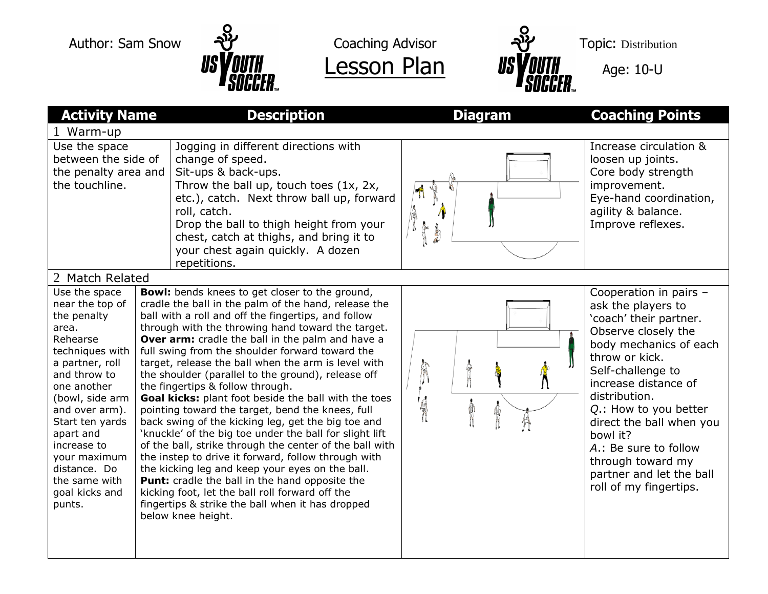





| <b>Activity Name</b>                                                                                                                                                                                                                                                                                       |  | <b>Description</b>                                                                                                                                                                                                                                                                                                                                                                                                                                                                                                                                                                                                                                                                                                                                                                                                                                                                                                                                                                                                                                                        | <b>Diagram</b>                 | <b>Coaching Points</b>                                                                                                                                                                                                                                                                                                                                                       |  |  |
|------------------------------------------------------------------------------------------------------------------------------------------------------------------------------------------------------------------------------------------------------------------------------------------------------------|--|---------------------------------------------------------------------------------------------------------------------------------------------------------------------------------------------------------------------------------------------------------------------------------------------------------------------------------------------------------------------------------------------------------------------------------------------------------------------------------------------------------------------------------------------------------------------------------------------------------------------------------------------------------------------------------------------------------------------------------------------------------------------------------------------------------------------------------------------------------------------------------------------------------------------------------------------------------------------------------------------------------------------------------------------------------------------------|--------------------------------|------------------------------------------------------------------------------------------------------------------------------------------------------------------------------------------------------------------------------------------------------------------------------------------------------------------------------------------------------------------------------|--|--|
| Warm-up                                                                                                                                                                                                                                                                                                    |  |                                                                                                                                                                                                                                                                                                                                                                                                                                                                                                                                                                                                                                                                                                                                                                                                                                                                                                                                                                                                                                                                           |                                |                                                                                                                                                                                                                                                                                                                                                                              |  |  |
| Use the space<br>between the side of<br>the penalty area and<br>the touchline.                                                                                                                                                                                                                             |  | Jogging in different directions with<br>change of speed.<br>Sit-ups & back-ups.<br>Throw the ball up, touch toes $(1x, 2x,$<br>etc.), catch. Next throw ball up, forward<br>roll, catch.<br>Drop the ball to thigh height from your<br>chest, catch at thighs, and bring it to<br>your chest again quickly. A dozen<br>repetitions.                                                                                                                                                                                                                                                                                                                                                                                                                                                                                                                                                                                                                                                                                                                                       | J<br>高                         | Increase circulation &<br>loosen up joints.<br>Core body strength<br>improvement.<br>Eye-hand coordination,<br>agility & balance.<br>Improve reflexes.                                                                                                                                                                                                                       |  |  |
| 2 Match Related                                                                                                                                                                                                                                                                                            |  |                                                                                                                                                                                                                                                                                                                                                                                                                                                                                                                                                                                                                                                                                                                                                                                                                                                                                                                                                                                                                                                                           |                                |                                                                                                                                                                                                                                                                                                                                                                              |  |  |
| Use the space<br>near the top of<br>the penalty<br>area.<br>Rehearse<br>techniques with<br>a partner, roll<br>and throw to<br>one another<br>(bowl, side arm<br>and over arm).<br>Start ten yards<br>apart and<br>increase to<br>your maximum<br>distance. Do<br>the same with<br>goal kicks and<br>punts. |  | <b>Bowl:</b> bends knees to get closer to the ground,<br>cradle the ball in the palm of the hand, release the<br>ball with a roll and off the fingertips, and follow<br>through with the throwing hand toward the target.<br>Over arm: cradle the ball in the palm and have a<br>full swing from the shoulder forward toward the<br>target, release the ball when the arm is level with<br>the shoulder (parallel to the ground), release off<br>the fingertips & follow through.<br>Goal kicks: plant foot beside the ball with the toes<br>pointing toward the target, bend the knees, full<br>back swing of the kicking leg, get the big toe and<br>'knuckle' of the big toe under the ball for slight lift<br>of the ball, strike through the center of the ball with<br>the instep to drive it forward, follow through with<br>the kicking leg and keep your eyes on the ball.<br><b>Punt:</b> cradle the ball in the hand opposite the<br>kicking foot, let the ball roll forward off the<br>fingertips & strike the ball when it has dropped<br>below knee height. | <b>POSTER</b><br>Λ<br>'4<br>S. | Cooperation in pairs -<br>ask the players to<br>'coach' their partner.<br>Observe closely the<br>body mechanics of each<br>throw or kick.<br>Self-challenge to<br>increase distance of<br>distribution.<br>Q.: How to you better<br>direct the ball when you<br>bowl it?<br>A.: Be sure to follow<br>through toward my<br>partner and let the ball<br>roll of my fingertips. |  |  |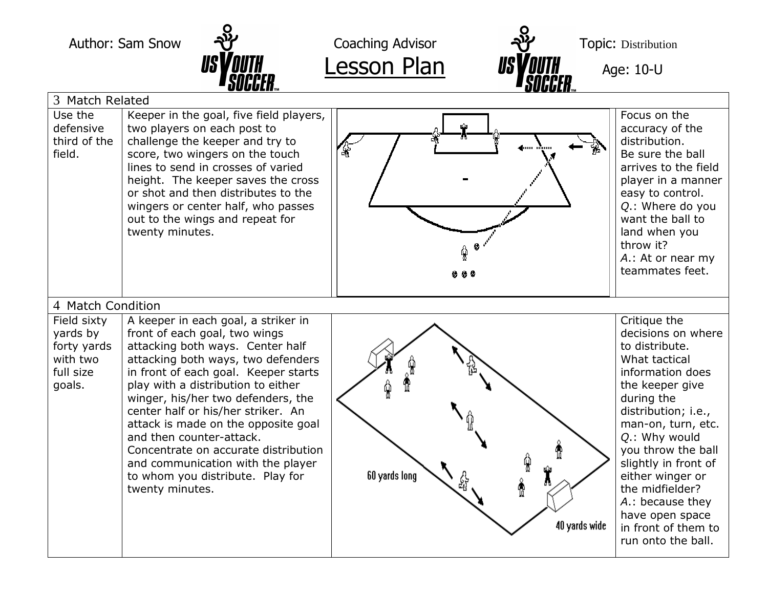



|                                                                           | UUUULIIm                                                                                                                                                                                                                                                                                                                                                                                                                                                                                                        | UUUULII…                                      |                                                                                                                                                                                                                                                                                                                                                                   |  |  |  |  |
|---------------------------------------------------------------------------|-----------------------------------------------------------------------------------------------------------------------------------------------------------------------------------------------------------------------------------------------------------------------------------------------------------------------------------------------------------------------------------------------------------------------------------------------------------------------------------------------------------------|-----------------------------------------------|-------------------------------------------------------------------------------------------------------------------------------------------------------------------------------------------------------------------------------------------------------------------------------------------------------------------------------------------------------------------|--|--|--|--|
| 3 Match Related                                                           |                                                                                                                                                                                                                                                                                                                                                                                                                                                                                                                 |                                               |                                                                                                                                                                                                                                                                                                                                                                   |  |  |  |  |
| Use the<br>defensive<br>third of the<br>field.                            | Keeper in the goal, five field players,<br>two players on each post to<br>challenge the keeper and try to<br>score, two wingers on the touch<br>lines to send in crosses of varied<br>height. The keeper saves the cross<br>or shot and then distributes to the<br>wingers or center half, who passes<br>out to the wings and repeat for<br>twenty minutes.                                                                                                                                                     | ¥<br>***                                      | Focus on the<br>accuracy of the<br>distribution.<br>Be sure the ball<br>arrives to the field<br>player in a manner<br>easy to control.<br>Q.: Where do you<br>want the ball to<br>land when you<br>throw it?<br>A.: At or near my<br>teammates feet.                                                                                                              |  |  |  |  |
| 4 Match Condition                                                         |                                                                                                                                                                                                                                                                                                                                                                                                                                                                                                                 |                                               |                                                                                                                                                                                                                                                                                                                                                                   |  |  |  |  |
| Field sixty<br>yards by<br>forty yards<br>with two<br>full size<br>goals. | A keeper in each goal, a striker in<br>front of each goal, two wings<br>attacking both ways. Center half<br>attacking both ways, two defenders<br>in front of each goal. Keeper starts<br>play with a distribution to either<br>winger, his/her two defenders, the<br>center half or his/her striker. An<br>attack is made on the opposite goal<br>and then counter-attack.<br>Concentrate on accurate distribution<br>and communication with the player<br>to whom you distribute. Play for<br>twenty minutes. | ç<br>60 yards long<br>ಟ<br>å<br>40 yards wide | Critique the<br>decisions on where<br>to distribute.<br>What tactical<br>information does<br>the keeper give<br>during the<br>distribution; i.e.,<br>man-on, turn, etc.<br>Q.: Why would<br>you throw the ball<br>slightly in front of<br>either winger or<br>the midfielder?<br>A.: because they<br>have open space<br>in front of them to<br>run onto the ball. |  |  |  |  |